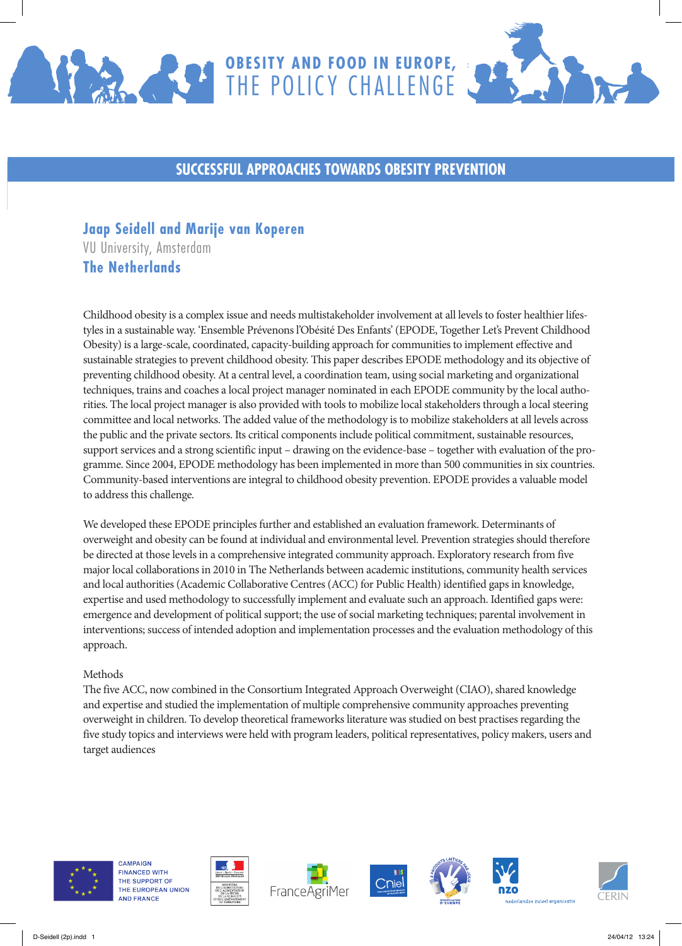



## **SUCCESSFUL APPROACHES TOWARDS OBESITY PREVENTION**

# **Jaap Seidell and Marije van Koperen**

VU University, Amsterdam **The Netherlands**

Childhood obesity is a complex issue and needs multistakeholder involvement at all levels to foster healthier lifestyles in a sustainable way. 'Ensemble Prévenons l'Obésité Des Enfants' (EPODE, Together Let's Prevent Childhood Obesity) is a large-scale, coordinated, capacity-building approach for communities to implement effective and sustainable strategies to prevent childhood obesity. This paper describes EPODE methodology and its objective of preventing childhood obesity. At a central level, a coordination team, using social marketing and organizational techniques, trains and coaches a local project manager nominated in each EPODE community by the local authorities. The local project manager is also provided with tools to mobilize local stakeholders through a local steering committee and local networks. The added value of the methodology is to mobilize stakeholders at all levels across the public and the private sectors. Its critical components include political commitment, sustainable resources, support services and a strong scientific input – drawing on the evidence-base – together with evaluation of the programme. Since 2004, EPODE methodology has been implemented in more than 500 communities in six countries. Community-based interventions are integral to childhood obesity prevention. EPODE provides a valuable model to address this challenge.

We developed these EPODE principles further and established an evaluation framework. Determinants of overweight and obesity can be found at individual and environmental level. Prevention strategies should therefore be directed at those levels in a comprehensive integrated community approach. Exploratory research from five major local collaborations in 2010 in The Netherlands between academic institutions, community health services and local authorities (Academic Collaborative Centres (ACC) for Public Health) identified gaps in knowledge, expertise and used methodology to successfully implement and evaluate such an approach. Identified gaps were: emergence and development of political support; the use of social marketing techniques; parental involvement in interventions; success of intended adoption and implementation processes and the evaluation methodology of this approach.

#### Methods

The five ACC, now combined in the Consortium Integrated Approach Overweight (CIAO), shared knowledge and expertise and studied the implementation of multiple comprehensive community approaches preventing overweight in children. To develop theoretical frameworks literature was studied on best practises regarding the five study topics and interviews were held with program leaders, political representatives, policy makers, users and target audiences



**CAMPAIGN FINANCED WITH** THE SUPPORT OF THE EUROPEAN UNION **AND FRANCE**